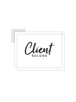

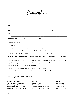Consent FORM

| Name:           |        |      |
|-----------------|--------|------|
| Street Address: |        |      |
| City:           | State: | Zip: |

| How did you hear about us?                                                                                                              |
|-----------------------------------------------------------------------------------------------------------------------------------------|
|                                                                                                                                         |
| $\Box$ Google/web search $\Box$ Facebook/Instagram $\Box$ Website<br>    Other                                                          |
| Is this the first time you've had eyelash extensions applied? $\Box$<br>Yes<br>No.                                                      |
|                                                                                                                                         |
| Are you having lash extensions applied for a special occasion or daily wear?<br>$\Box$ Special Occasion<br>Daily Wear<br>$\mathbb{R}^2$ |
| Do you wear contacts? $\Box$ Yes $\Box$ No<br>Do you habitually rub, pull, or pick your lashes?<br>$\Box$ Yes<br>$\Box$ No              |
| Do you have, or are you being treated for, any eye illness or injury?<br>$\Box$ Yes<br>$\Box$ No                                        |
| Please list any eye drops or eye medication you are using:                                                                              |

What side do you predominately sleep on?  $\Box$  Right  $\Box$  Left  $\Box$  Neither

Are you able to keep your eyes closed and lie still for 2 hours or longer?  $\Box$  Yes  $\Box$  No



Alopecia Iron deficiency Oily skin or hair Thyroid disease Microdermabrasion

Severe stress Allergies to glycerin Hormonal imbalance Allergies to adhesive or synthetics Recent high fever or severe illness

Permanent eye make-up Use of retinoid for skin treatment Blepharoplasty within last 6 months Chemotherapy within last 6 months Lasik Eye Surgery within last 120 days

Other:\_\_\_\_\_\_\_\_\_\_\_\_\_\_\_\_\_\_\_\_\_\_\_\_\_\_\_\_\_\_\_\_\_\_\_\_\_\_\_\_\_\_\_\_\_\_\_\_\_\_\_\_\_\_\_\_\_\_\_\_\_\_\_\_\_\_\_\_\_\_\_\_\_\_\_\_\_\_\_\_\_\_\_\_\_\_\_\_\_\_\_\_\_\_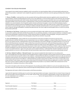### CONSENT FOR EYELASH PROCEDURE

I have agreed to have eyelash extensions applied to and/or removed from my natural eyelashes. Before my licensed eyelash professional can perform this procedure, I understand I must complete this agreement and provide my informed consent by signing and dating where indicated below.

1. Waiver of Liability. I understand there are risks associated with having artificial eyelash extensions applied to and/or removed from my natural eyelashes, and that notwithstanding the utmost of care in the application or removal of these products, there still exists risks associated with the procedure and product itself, which include, without limitation, eye irritation, eye pain, discomfort, and, in rare cases blindness when improperly handled. As part of this procedure, I understand that a certain amount of eyelash adhesive material will be used to attach artificial eyelashes to my natural eyelashes. Even though the eyelash extension professional may apply or remove the artificial eyelashes properly, I understand adhesive material may become dislodged during or after the procedure, which may irritate my eyes or require follow-up care, at my own expense to prevent damage to my eyes. I also agree to defend, indemnify and hold harmless my service provider from any and all claims, actions, expenses, damages and liabilities, including reasonable attorneys' fees which might be asserted against them as a result of my having this procedure performed.

2. Permission to Use Pictures. I hereby grant my service provider the full right to take, publish and reproduce photographs of me, my face, my eyes and/or eyelashes, both before and after the procedure, for any advertising, education, or other purposes whatsoever, including the right to

retouch these photographs as deemed necessary. I further expressly assign any copyright in these photographs. I also grant consent to use my images and likeness as contained in these photographs, along with any comments I may provide.

I agree that this Agreement is binding upon me, and my heirs, legal representatives and assigns. I represent that I am at least 18 years of age and that I have the right to enter this agreement, or if I am under 18 years of age, I have my parent or legal guardians consent to this agreement and his or her relationship to me is as follows: \_\_\_\_\_\_\_\_\_\_\_\_\_\_\_\_\_\_\_\_\_\_\_\_\_\_\_. By his or her signature below, he or she rati!es and consents to this procedure under these terms.

3. Care and Maintenance. I agree to follow the care and maintenance instructions provided to me for the use and care of my eyelash extensions, and that if any follow up care is required due to my own mistake or negligence, or failure to follow these instructions, this will be at my own expense and risk. I understand that if I do any of the following, it may result in damage to my eyelash extensions or my cause my lashes to fall off prematurely. Knowing this I agree to follow these instructions for best results: I will avoid oil based eye products as these will loosen the bond of my eyelash extensions. I will avoid getting my lashes wet within 24 hours after application. For the first two days after application, I understand it is best to avoid swimming, saunas or steam rooms. If I experience any itching or irritation, I agree to contact my service provider immediately to have the lash extensions removed. I agree to avoid using waterproof mascara and to not use an eyelash curler, perm, or tint on my eyelash extensions. I agree not to pick, pull or rub my eyelash extensions. I understand that I should not attempt to remove my eyelash extensions on my own or with any product, but that the procedure requires that my eyelash extensions be professionally removed.

4. No Know Medical Conditions / Informed Consent. I have read and completed the Client Intake Form in its entirety and in truth. I acknowledge that I have been advised of the potentially harmful or negative side effects that the eyelash extension procedure or removal may cause to those who have specific medical or skin conditions. I understand that the adhesives and adhesive remover are a skin, eye and mucus membrane irritant and that in rare cases persons may be allergic or have hypersensitivity to synthetics, cyanoacrylate or formaldehyde which in small amounts may be present in the adhesive. I understand that the procedure requires that I lay still for up to 3 hours or longer with my eyes closed, and that if I wear contacts, I must remove my contact lenses for the duration of the lash extension application or removal. I further state that I have no known medical condition that might be aggravated by the procedure or any medical condition that would prevent me from complying with or heeding to instructions or these warnings.

If any action is brought to enforce the terms of this Agreement, the prevailing party shall be entitled to its costs and reasonable attorneys' fees. Any claims arising out of this agreement will be resolved through the binding arbitration using the rules of the American Arbitration Association.

This Agreement will remain in effect for this procedure, and all future procedures.

| Signature:                 | <b>Print Name:</b> | Date: |
|----------------------------|--------------------|-------|
| Parent/Guardian Signature: | <b>Print Name:</b> | Date: |
| Licensed Lash/Brow Artist: | <b>Print Name:</b> | Date: |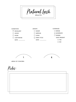Notes:



| $\Box$ POOR       | $\Box$ LONG        | $\Box$ SPARSE       |
|-------------------|--------------------|---------------------|
| $\Box$ LASH REHAB | $\Box$ SHED CYCLE  | <b>GAPS PRESENT</b> |
|                   | DATE: ____________ | $O$ YES             |
|                   |                    | $\bigcirc$ NO       |





AREAS OF CONCERN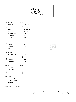### FACE SHAPE

 SQUARE  $\Box$  NATURAL

 $\Box$  ROUND  $\Box$  ROUND

 $\Box$  OVAL M. ROUND

OBLONG

 $T$ TRIANGULAR

 $\Box$  KITTEN

 $\Box$   $\cap$   $\wedge$   $\tau$ 

| $\begin{array}{c} \boxed{1} \\ \boxed{1} \end{array}$<br>IKIANGULAR | $\mathbf{1}$<br><b>CAI</b>       |
|---------------------------------------------------------------------|----------------------------------|
| DIAMOND<br>$\mathcal{L}^{\mathcal{A}}$                              | DOLLY                            |
| <b>HEART</b><br>$\overline{\phantom{a}}$                            | <b>CUSTOM</b><br>$\mathbf{I}$    |
|                                                                     |                                  |
| <b>EYE SHAPE</b>                                                    | <b>DIAMETER</b>                  |
| ROUND<br>$\overline{\phantom{a}}$                                   | $\Box$ 0.03                      |
| ALMOND<br>$\Box$                                                    | 0.04<br>$\Box$                   |
| MIX                                                                 | 0.05<br>$\mathbb{R}^2$           |
|                                                                     | 0.06                             |
| EYE DETAILS                                                         | 0.07<br>$\overline{\phantom{a}}$ |
| PROTRUDING<br>$\mathbf{I}$                                          | $\Box$ 0.10                      |
| <b>DEEP-SET</b><br>$\mathbf{1}$                                     | $\Box$ 0.12                      |
| HOODED<br>$\mathbf{I}$                                              | $\Box$ 0.15                      |
| MONOLID<br>$\mathsf{L}$                                             | $\Box$ 0.18                      |
|                                                                     |                                  |
| <b>EYE SET</b>                                                      | CURL                             |
| <b>CLOSE-SET</b><br>$\Box$                                          | $\mathbb{R}^2$                   |
| WIDE-SET                                                            | $\overline{B}$<br>$\mathbb{R}^2$ |
| NEUTRAL<br>$\mathbf{I}$                                             | $\Box$ C                         |
|                                                                     | $\Box$ CC                        |
| <b>EYE PITCH</b>                                                    | D<br>$\mathbf{I}$                |
| <b>UP-TURNED</b><br>$\Box$                                          | $\Box$ L                         |
| DOWN-TURNED<br>$\mathsf{L}$                                         |                                  |
| NEUTRAL                                                             |                                  |
|                                                                     |                                  |
| <b>DIMENSION</b><br><b>LENGTH</b>                                   |                                  |

SHAPE





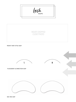GEL PAD MAP



### FRONT VIEW STYLE MAP



### PLACEMENT & DIRECTION MAP



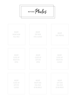INSERT CLOSE-UP RIGHT EYE OPEN

INSERT CLOSE-UP LEFT EYE OPEN

INSERT CLOSE-UP RIGHT EYE CLOSED

## INSERT CLOSE-UP LEFT EYE CLOSED

BEFORE Photos



INSERT RIGHT SIDE FULL FACE AT AN ANGLE

INSERT LEFT SIDE FULL FACE AT AN ANGLE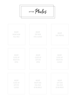INSERT CLOSE-UP RIGHT EYE OPEN

INSERT CLOSE-UP LEFT EYE OPEN

INSERT CLOSE-UP RIGHT EYE CLOSED

## INSERT CLOSE-UP LEFT EYE CLOSED

AFTER Photos



INSERT RIGHT SIDE FULL FACE AT AN ANGLE

INSERT LEFT SIDE FULL FACE AT AN ANGLE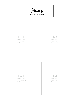# INSERT FAVORITE BEFORE PIC

## INSERT FAVORITE BEFORE PIC

## INSERT FAVORITE AFTER PIC

INSERT FAVORITE AFTER PIC







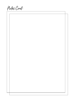Notes Cont:

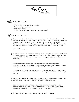Pro Series USER GUIDE

### YOU'LL NEED: Tools

- Tablet (iPad Pro or Android/Windows device)
- GoodNotes App or equivalent
- Apple Pencil / Stylus
- Creative Energy (We're sending you those good vibes, boo!)

#### $\mathsf{GET}\ \mathsf{STATED}\colon$ Let's

 $\sqrt{2}$ 

4

Upon download, open the Pro Series document using your favorite note taking app on iPad Pro or Android/Windows tablet. Our go to app and Maven favorite is GoodNotes. You can use almost any note taking app, however the record keeping/orgizational capability of GoodNotes is second to none. We suggest learning the functionality of GoodNotes to make the most of your user experience! Visit the GoodNotes website to view their User Guide.

www.goodnotesapp.com

- Save the Maven Pro Series document as a template assigning it as your master copy. Give it a catchy name, something you'll remember not to edit. "Template" is kinda lame y'all, let's have some fun! Within GoodNotes you can create custom categories and save your documents accordingly. 2
- S Create a record for each client by duplicating the master copy and saving the new<br>document using your clients full name. GoodNotes will store your documents alp<br>making it simple to located and search for slient records. document using your clients full name. GoodNotes will store your documents alphabetically making it simple to located and search for client records. Halleujah!

\*See the attached page on how to imput your own consent form into the Maven Pro Series document or contact us to discuss custom consent form options! (Insert disco dancer emoji). Let's go!

Begin adding details to your client record. For clarification on how to use each page in the Pro Series document, please see the descriptions included in this How To Guide.

- Don't worry about losing information you've added to your documents. GoodNotes automatically saves your work when you exit. Choose to export client documents into PDF format making it simple to print or back up files onto a computer. -
- Let's keep this party going and to take a walkthru of each Pro Series page. +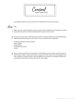$\omega$ form addition

It's possible to add your own consent form to the Maven Pro Series documents.

### $\mathsf{TO:}$ How

 $\sqrt{2}$ 

Make sure your master template is open or active within GoodNotes. Any changes to make to the master document can then be duplicated for each and every client.

Email your consent form in PDF format to yourself. Using your iPad Pro or Android/Windows 2 Email your consent form in PDF format to yourself. Using your iPad Pro or Andi<br>tablet, download and open the document, choosing "Import with GoodNotes".

You'll be prompted with four options: Import Above Import Below Create New Document Cancel

 $\beta$  Choose where you'd like the consent form to land within your document using the above or<br>below option. Keep in mind, you're able to arrange the order of your document pages at any<br>time using the "Contents" button (vi below option. Keep in mind, you're able to arrange the order of your document pages at any time, using the "Contents" button (view GoodNotes user guide for more details). We like our consent form to be the first document after the cover page.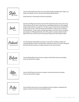Style

Use the Style Guide document to record client details including, face shape, eye shape, eye details, eye set, eye pitch and styling specifications.

Work directly on client photo and lash map below.

Lash MAPS

Use the Lash Maps document to assess three important areas. First, assess your clients features (front view), drawing your map/design directly on the cropped image imported from your photos. Second, map your placement and direction in the center section. Note the angle and transition, using arrows to indicate directional flow. Lastly, create your gel pad maps to save time when recreating your design at infill appointments. Once this guide is created, simply transfer details from your client record to the gel pad using a fine tip Sharpie marker.

Natural LASH HEALTH

Use the Natural Lash Health document to record the condition, length and coverage details of clients natural lashes. Indicate any areas of concern along the lash line. Record notations or capture photos in the notes section.

Before PHOTOS

Use the Before Photos document to capture client before pictures including close up and full face images.

After PHOTOS

Use the After Photos document to capture client after pictures including close up and full face images.

Notes

Use the Notes document to record additional client notations. Duplicate this page to continue notes for long standing clients.